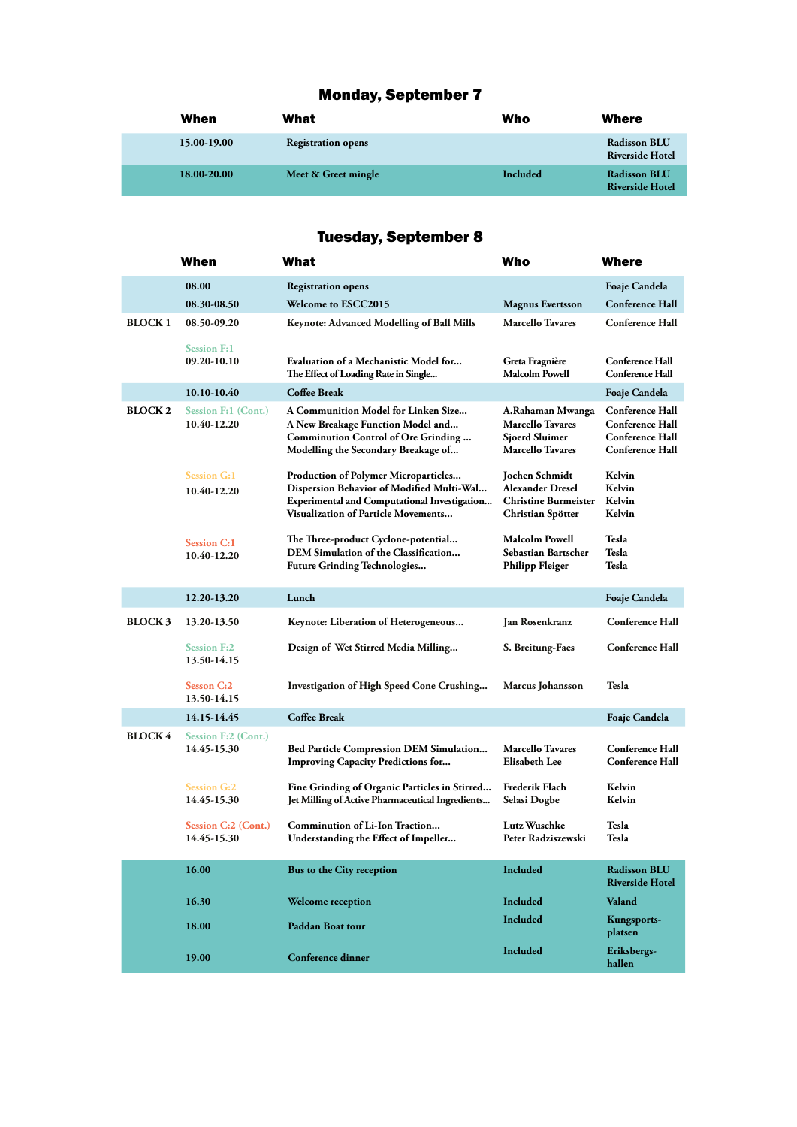## Monday, September 7

| When        | What                      | Who      | Where                                         |
|-------------|---------------------------|----------|-----------------------------------------------|
| 15.00-19.00 | <b>Registration opens</b> |          | <b>Radisson BLU</b><br><b>Riverside Hotel</b> |
| 18.00-20.00 | Meet & Greet mingle       | Included | <b>Radisson BLU</b><br><b>Riverside Hotel</b> |

# Tuesday, September 8

|                | When                                      | What                                                                                                                                                                                          | Who                                                                                      | Where                                                                                                |
|----------------|-------------------------------------------|-----------------------------------------------------------------------------------------------------------------------------------------------------------------------------------------------|------------------------------------------------------------------------------------------|------------------------------------------------------------------------------------------------------|
|                | 08.00                                     | <b>Registration opens</b>                                                                                                                                                                     |                                                                                          | Foaje Candela                                                                                        |
|                | 08.30-08.50                               | <b>Welcome to ESCC2015</b>                                                                                                                                                                    | <b>Magnus Evertsson</b>                                                                  | <b>Conference Hall</b>                                                                               |
| <b>BLOCK1</b>  | 08.50-09.20                               | <b>Keynote: Advanced Modelling of Ball Mills</b>                                                                                                                                              | <b>Marcello Tavares</b>                                                                  | <b>Conference Hall</b>                                                                               |
|                | <b>Session F:1</b><br>09.20-10.10         | Evaluation of a Mechanistic Model for<br>The Effect of Loading Rate in Single                                                                                                                 | Greta Fragnière<br>Malcolm Powell                                                        | <b>Conference Hall</b><br><b>Conference Hall</b>                                                     |
|                | 10.10-10.40                               | <b>Coffee Break</b>                                                                                                                                                                           |                                                                                          | Foaje Candela                                                                                        |
| <b>BLOCK 2</b> | <b>Session F:1 (Cont.)</b><br>10.40-12.20 | A Communition Model for Linken Size<br>A New Breakage Function Model and<br>Comminution Control of Ore Grinding<br>Modelling the Secondary Breakage of                                        | A.Rahaman Mwanga<br><b>Marcello Tavares</b><br>Sjoerd Sluimer<br><b>Marcello Tavares</b> | <b>Conference Hall</b><br><b>Conference Hall</b><br><b>Conference Hall</b><br><b>Conference Hall</b> |
|                | <b>Session G:1</b><br>10.40-12.20         | <b>Production of Polymer Microparticles</b><br>Dispersion Behavior of Modified Multi-Wal<br><b>Experimental and Computational Investigation</b><br><b>Visualization of Particle Movements</b> | Jochen Schmidt<br>Alexander Dresel<br><b>Christine Burmeister</b><br>Christian Spötter   | Kelvin<br>Kelvin<br>Kelvin<br>Kelvin                                                                 |
|                | <b>Session C:1</b><br>10.40-12.20         | The Three-product Cyclone-potential<br>DEM Simulation of the Classification<br><b>Future Grinding Technologies</b>                                                                            | <b>Malcolm Powell</b><br>Sebastian Bartscher<br><b>Philipp Fleiger</b>                   | <b>Tesla</b><br>Tesla<br>Tesla                                                                       |
|                | 12.20-13.20                               | Lunch                                                                                                                                                                                         |                                                                                          | <b>Foaje Candela</b>                                                                                 |
| <b>BLOCK3</b>  | 13.20-13.50                               | Keynote: Liberation of Heterogeneous                                                                                                                                                          | Jan Rosenkranz                                                                           | <b>Conference Hall</b>                                                                               |
|                | <b>Session F:2</b><br>13.50-14.15         | Design of Wet Stirred Media Milling                                                                                                                                                           | S. Breitung-Faes                                                                         | <b>Conference Hall</b>                                                                               |
|                | <b>Sesson C:2</b><br>13.50-14.15          | Investigation of High Speed Cone Crushing                                                                                                                                                     | <b>Marcus Johansson</b>                                                                  | Tesla                                                                                                |
|                | 14.15-14.45                               | <b>Coffee Break</b>                                                                                                                                                                           |                                                                                          | Foaje Candela                                                                                        |
| <b>BLOCK 4</b> | <b>Session F:2 (Cont.)</b><br>14.45-15.30 | <b>Bed Particle Compression DEM Simulation</b><br><b>Improving Capacity Predictions for</b>                                                                                                   | <b>Marcello Tavares</b><br><b>Elisabeth Lee</b>                                          | <b>Conference Hall</b><br><b>Conference Hall</b>                                                     |
|                | <b>Session G:2</b><br>14.45-15.30         | Fine Grinding of Organic Particles in Stirred<br>Jet Milling of Active Pharmaceutical Ingredients                                                                                             | Frederik Flach<br>Selasi Dogbe                                                           | Kelvin<br>Kelvin                                                                                     |
|                | <b>Session C:2 (Cont.)</b><br>14.45-15.30 | Comminution of Li-Ion Traction<br>Understanding the Effect of Impeller                                                                                                                        | Lutz Wuschke<br>Peter Radziszewski                                                       | Tesla<br>Tesla                                                                                       |
|                | 16.00                                     | Bus to the City reception                                                                                                                                                                     | Included                                                                                 | <b>Radisson BLU</b><br><b>Riverside Hotel</b>                                                        |
|                | 16.30                                     | <b>Welcome reception</b>                                                                                                                                                                      | Included                                                                                 | Valand                                                                                               |
|                | 18.00                                     | <b>Paddan Boat tour</b>                                                                                                                                                                       | Included                                                                                 | Kungsports-<br>platsen                                                                               |
|                | 19.00                                     | Conference dinner                                                                                                                                                                             | <b>Included</b>                                                                          | Eriksbergs-<br>hallen                                                                                |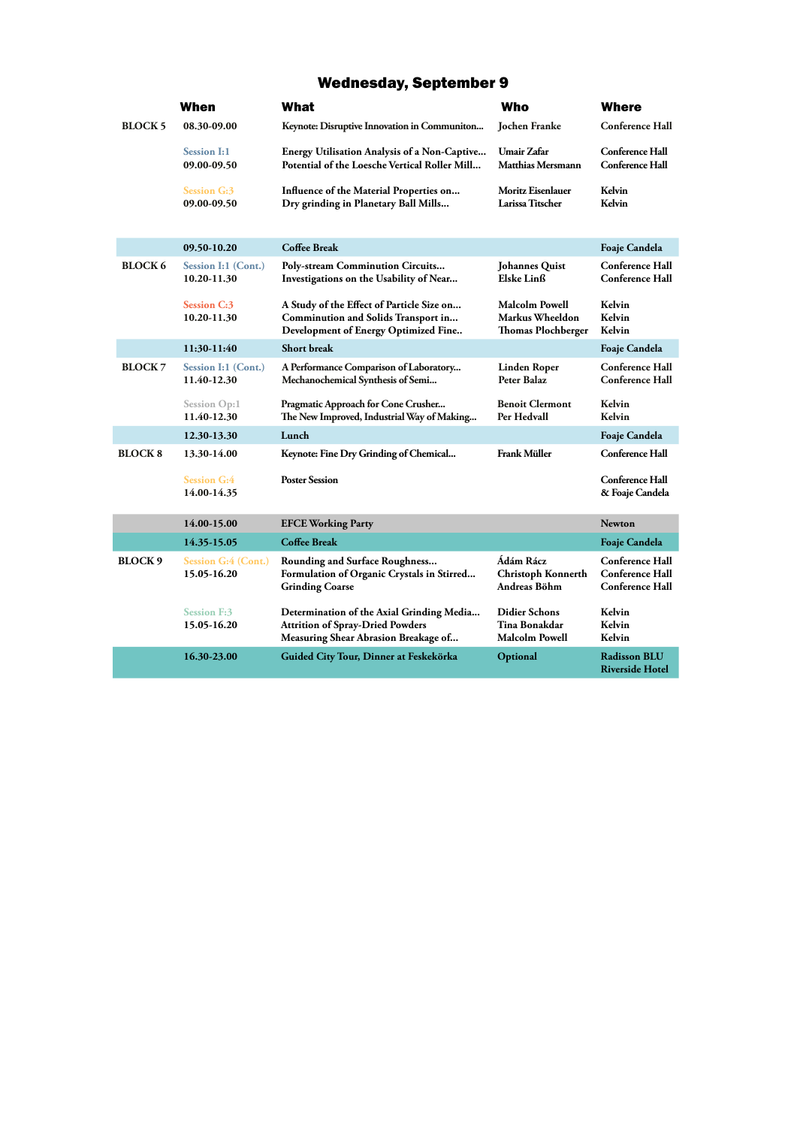#### Wednesday, September 9

|                | When                                      | What                                                                                                                         | Who                                                                   | <b>Where</b>                                                               |
|----------------|-------------------------------------------|------------------------------------------------------------------------------------------------------------------------------|-----------------------------------------------------------------------|----------------------------------------------------------------------------|
| <b>BLOCK5</b>  | 08.30-09.00                               | Keynote: Disruptive Innovation in Communiton                                                                                 | Jochen Franke                                                         | <b>Conference Hall</b>                                                     |
|                | <b>Session I:1</b><br>09.00-09.50         | <b>Energy Utilisation Analysis of a Non-Captive</b><br>Potential of the Loesche Vertical Roller Mill                         | <b>Umair Zafar</b><br><b>Matthias Mersmann</b>                        | <b>Conference Hall</b><br><b>Conference Hall</b>                           |
|                | <b>Session G:3</b><br>09.00-09.50         | Influence of the Material Properties on<br>Dry grinding in Planetary Ball Mills                                              | Moritz Eisenlauer<br>Larissa Titscher                                 | Kelvin<br>Kelvin                                                           |
|                | 09.50-10.20                               | <b>Coffee Break</b>                                                                                                          |                                                                       | <b>Foaje Candela</b>                                                       |
| <b>BLOCK 6</b> | Session I:1 (Cont.)<br>10.20-11.30        | Poly-stream Comminution Circuits<br>Investigations on the Usability of Near                                                  | <b>Johannes Quist</b><br>Elske Linß                                   | <b>Conference Hall</b><br><b>Conference Hall</b>                           |
|                | <b>Session C:3</b><br>10.20-11.30         | A Study of the Effect of Particle Size on<br>Comminution and Solids Transport in<br>Development of Energy Optimized Fine     | <b>Malcolm Powell</b><br>Markus Wheeldon<br><b>Thomas Plochberger</b> | Kelvin<br>Kelvin<br>Kelvin                                                 |
|                | 11:30-11:40                               | <b>Short break</b>                                                                                                           |                                                                       | Foaje Candela                                                              |
| <b>BLOCK 7</b> | Session I:1 (Cont.)<br>11.40-12.30        | A Performance Comparison of Laboratory<br>Mechanochemical Synthesis of Semi                                                  | Linden Roper<br>Peter Balaz                                           | <b>Conference Hall</b><br><b>Conference Hall</b>                           |
|                | Session Op:1<br>11.40-12.30               | Pragmatic Approach for Cone Crusher<br>The New Improved, Industrial Way of Making                                            | <b>Benoit Clermont</b><br>Per Hedvall                                 | Kelvin<br>Kelvin                                                           |
|                | 12.30-13.30                               | Lunch                                                                                                                        |                                                                       | Foaje Candela                                                              |
| <b>BLOCK 8</b> | 13.30-14.00                               | Keynote: Fine Dry Grinding of Chemical                                                                                       | <b>Frank Müller</b>                                                   | <b>Conference Hall</b>                                                     |
|                | <b>Session G:4</b><br>14.00-14.35         | <b>Poster Session</b>                                                                                                        |                                                                       | Conference Hall<br>& Foaje Candela                                         |
|                | 14.00-15.00                               | <b>EFCE Working Party</b>                                                                                                    |                                                                       | <b>Newton</b>                                                              |
|                | 14.35-15.05                               | <b>Coffee Break</b>                                                                                                          |                                                                       | Foaje Candela                                                              |
| <b>BLOCK9</b>  | <b>Session G:4 (Cont.)</b><br>15.05-16.20 | Rounding and Surface Roughness<br>Formulation of Organic Crystals in Stirred<br><b>Grinding Coarse</b>                       | Ádám Rácz<br>Christoph Konnerth<br>Andreas Böhm                       | <b>Conference Hall</b><br><b>Conference Hall</b><br><b>Conference Hall</b> |
|                | <b>Session F:3</b><br>15.05-16.20         | Determination of the Axial Grinding Media<br><b>Attrition of Spray-Dried Powders</b><br>Measuring Shear Abrasion Breakage of | <b>Didier Schons</b><br>Tina Bonakdar<br><b>Malcolm Powell</b>        | Kelvin<br>Kelvin<br>Kelvin                                                 |
|                | 16.30-23.00                               | Guided City Tour, Dinner at Feskekörka                                                                                       | Optional                                                              | <b>Radisson BLU</b><br><b>Riverside Hotel</b>                              |